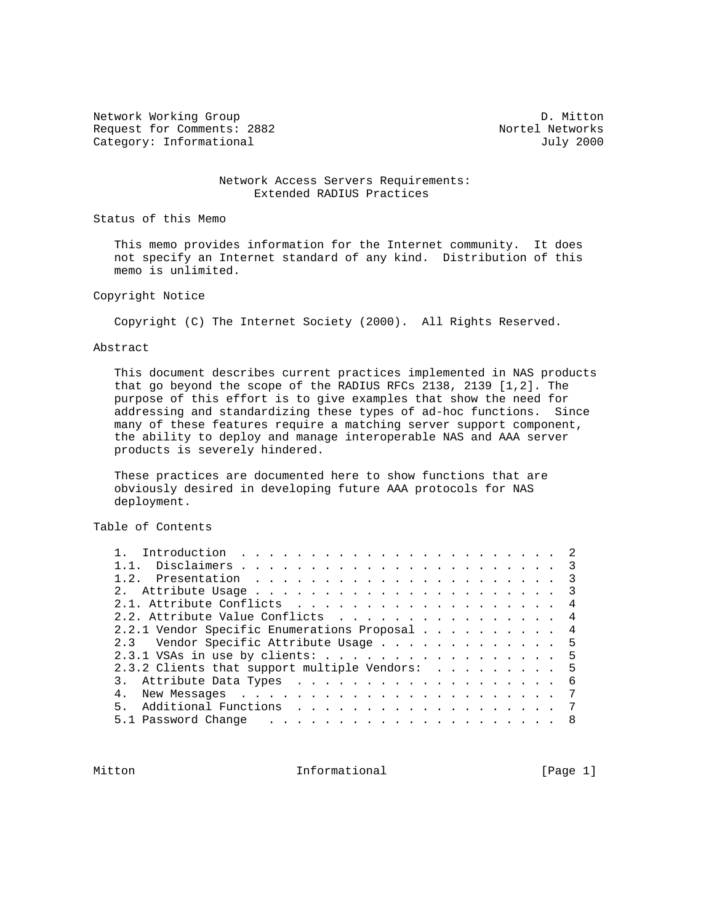Network Working Group and the set of the set of the D. Mitton Request for Comments: 2882 Nortel Networks<br>
Category: Informational and Muly 2000 Category: Informational

#### Network Access Servers Requirements: Extended RADIUS Practices

Status of this Memo

 This memo provides information for the Internet community. It does not specify an Internet standard of any kind. Distribution of this memo is unlimited.

Copyright Notice

Copyright (C) The Internet Society (2000). All Rights Reserved.

Abstract

 This document describes current practices implemented in NAS products that go beyond the scope of the RADIUS RFCs 2138, 2139 [1,2]. The purpose of this effort is to give examples that show the need for addressing and standardizing these types of ad-hoc functions. Since many of these features require a matching server support component, the ability to deploy and manage interoperable NAS and AAA server products is severely hindered.

 These practices are documented here to show functions that are obviously desired in developing future AAA protocols for NAS deployment.

Table of Contents

| Introduction $\ldots \ldots \ldots \ldots \ldots \ldots \ldots$ |                         |
|-----------------------------------------------------------------|-------------------------|
|                                                                 |                         |
|                                                                 | $\overline{\mathbf{3}}$ |
|                                                                 |                         |
|                                                                 |                         |
| 2.2. Attribute Value Conflicts                                  | -4                      |
| 2.2.1 Vendor Specific Enumerations Proposal                     | $\frac{4}{3}$           |
| 2.3 Vendor Specific Attribute Usage 5                           |                         |
| 2.3.1 VSAs in use by clients: 5                                 |                         |
| 2.3.2 Clients that support multiple Vendors: 5                  |                         |
|                                                                 | - 6                     |
|                                                                 | -7                      |
| $5 -$                                                           |                         |
|                                                                 |                         |
|                                                                 |                         |

Mitton **Informational Informational** [Page 1]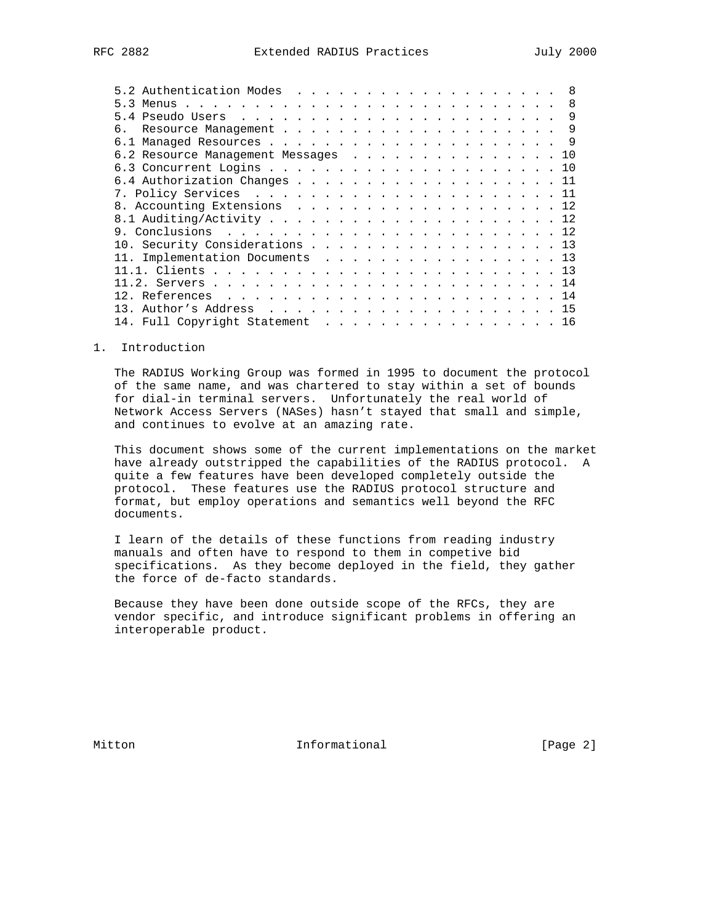|                                     |  |  |  |  | - 8 |
|-------------------------------------|--|--|--|--|-----|
|                                     |  |  |  |  |     |
|                                     |  |  |  |  |     |
|                                     |  |  |  |  |     |
|                                     |  |  |  |  |     |
| 6.2 Resource Management Messages 10 |  |  |  |  |     |
|                                     |  |  |  |  |     |
| 6.4 Authorization Changes 11        |  |  |  |  |     |
|                                     |  |  |  |  |     |
| 8. Accounting Extensions 12         |  |  |  |  |     |
|                                     |  |  |  |  |     |
|                                     |  |  |  |  |     |
| 10. Security Considerations 13      |  |  |  |  |     |
| 11. Implementation Documents 13     |  |  |  |  |     |
|                                     |  |  |  |  |     |
|                                     |  |  |  |  |     |
|                                     |  |  |  |  |     |
|                                     |  |  |  |  |     |
|                                     |  |  |  |  |     |
| 14. Full Copyright Statement 16     |  |  |  |  |     |

## 1. Introduction

 The RADIUS Working Group was formed in 1995 to document the protocol of the same name, and was chartered to stay within a set of bounds for dial-in terminal servers. Unfortunately the real world of Network Access Servers (NASes) hasn't stayed that small and simple, and continues to evolve at an amazing rate.

 This document shows some of the current implementations on the market have already outstripped the capabilities of the RADIUS protocol. A quite a few features have been developed completely outside the protocol. These features use the RADIUS protocol structure and format, but employ operations and semantics well beyond the RFC documents.

 I learn of the details of these functions from reading industry manuals and often have to respond to them in competive bid specifications. As they become deployed in the field, they gather the force of de-facto standards.

 Because they have been done outside scope of the RFCs, they are vendor specific, and introduce significant problems in offering an interoperable product.

Mitton **Informational Informational** [Page 2]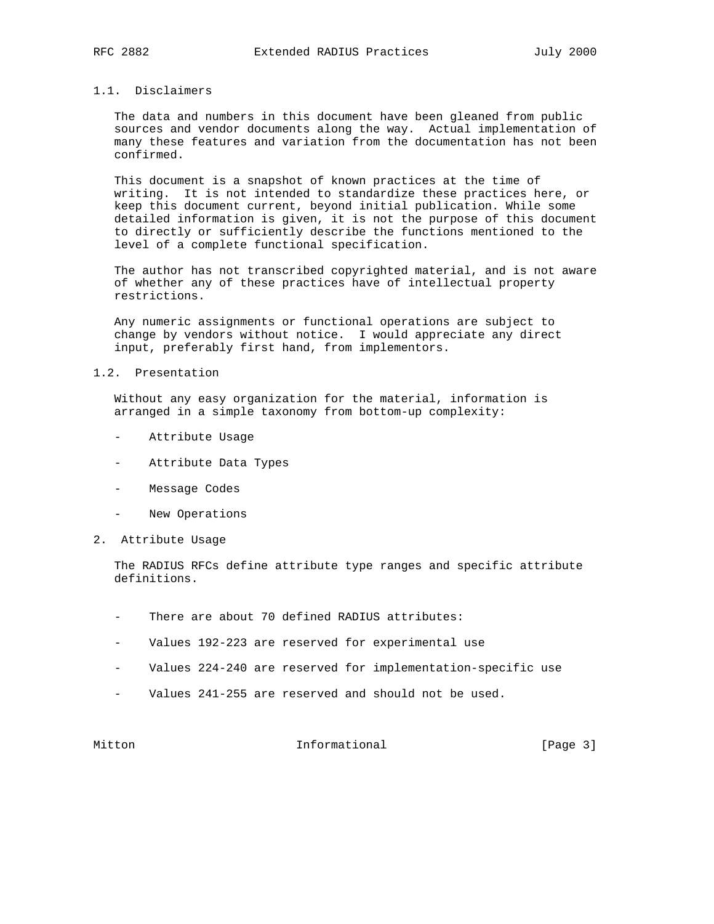## 1.1. Disclaimers

 The data and numbers in this document have been gleaned from public sources and vendor documents along the way. Actual implementation of many these features and variation from the documentation has not been confirmed.

 This document is a snapshot of known practices at the time of writing. It is not intended to standardize these practices here, or keep this document current, beyond initial publication. While some detailed information is given, it is not the purpose of this document to directly or sufficiently describe the functions mentioned to the level of a complete functional specification.

 The author has not transcribed copyrighted material, and is not aware of whether any of these practices have of intellectual property restrictions.

 Any numeric assignments or functional operations are subject to change by vendors without notice. I would appreciate any direct input, preferably first hand, from implementors.

#### 1.2. Presentation

 Without any easy organization for the material, information is arranged in a simple taxonomy from bottom-up complexity:

- Attribute Usage
- Attribute Data Types
- Message Codes
- New Operations
- 2. Attribute Usage

 The RADIUS RFCs define attribute type ranges and specific attribute definitions.

- There are about 70 defined RADIUS attributes:
- Values 192-223 are reserved for experimental use
- Values 224-240 are reserved for implementation-specific use
- Values 241-255 are reserved and should not be used.

Mitton **Informational Informational** [Page 3]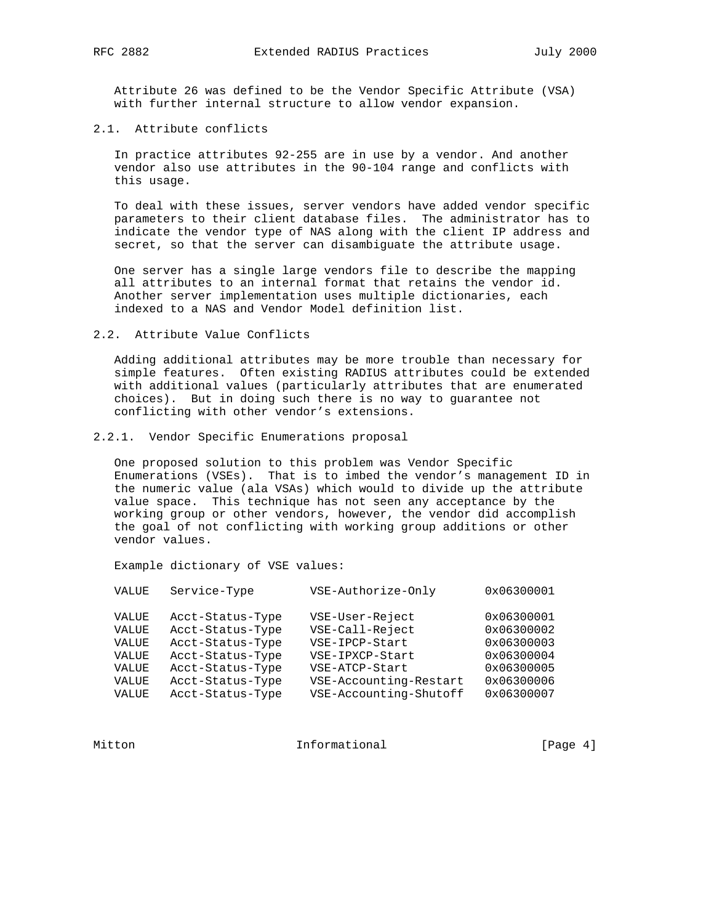Attribute 26 was defined to be the Vendor Specific Attribute (VSA) with further internal structure to allow vendor expansion.

2.1. Attribute conflicts

 In practice attributes 92-255 are in use by a vendor. And another vendor also use attributes in the 90-104 range and conflicts with this usage.

 To deal with these issues, server vendors have added vendor specific parameters to their client database files. The administrator has to indicate the vendor type of NAS along with the client IP address and secret, so that the server can disambiguate the attribute usage.

 One server has a single large vendors file to describe the mapping all attributes to an internal format that retains the vendor id. Another server implementation uses multiple dictionaries, each indexed to a NAS and Vendor Model definition list.

#### 2.2. Attribute Value Conflicts

 Adding additional attributes may be more trouble than necessary for simple features. Often existing RADIUS attributes could be extended with additional values (particularly attributes that are enumerated choices). But in doing such there is no way to guarantee not conflicting with other vendor's extensions.

2.2.1. Vendor Specific Enumerations proposal

 One proposed solution to this problem was Vendor Specific Enumerations (VSEs). That is to imbed the vendor's management ID in the numeric value (ala VSAs) which would to divide up the attribute value space. This technique has not seen any acceptance by the working group or other vendors, however, the vendor did accomplish the goal of not conflicting with working group additions or other vendor values.

Example dictionary of VSE values:

| VALUE | Service-Type     | VSE-Authorize-Only     | 0x06300001 |
|-------|------------------|------------------------|------------|
| VALUE | Acct-Status-Type | VSE-User-Reject        | 0x06300001 |
| VALUE | Acct-Status-Type | VSE-Call-Reject        | 0x06300002 |
| VALUE | Acct-Status-Type | VSE-IPCP-Start         | 0x06300003 |
| VALUE | Acct-Status-Type | VSE-IPXCP-Start        | 0x06300004 |
| VALUE | Acct-Status-Type | VSE-ATCP-Start         | 0x06300005 |
| VALUE | Acct-Status-Type | VSE-Accounting-Restart | 0x06300006 |
| VALUE | Acct-Status-Type | VSE-Accounting-Shutoff | 0x06300007 |
|       |                  |                        |            |

Mitton 10 Informational 10 Page 4]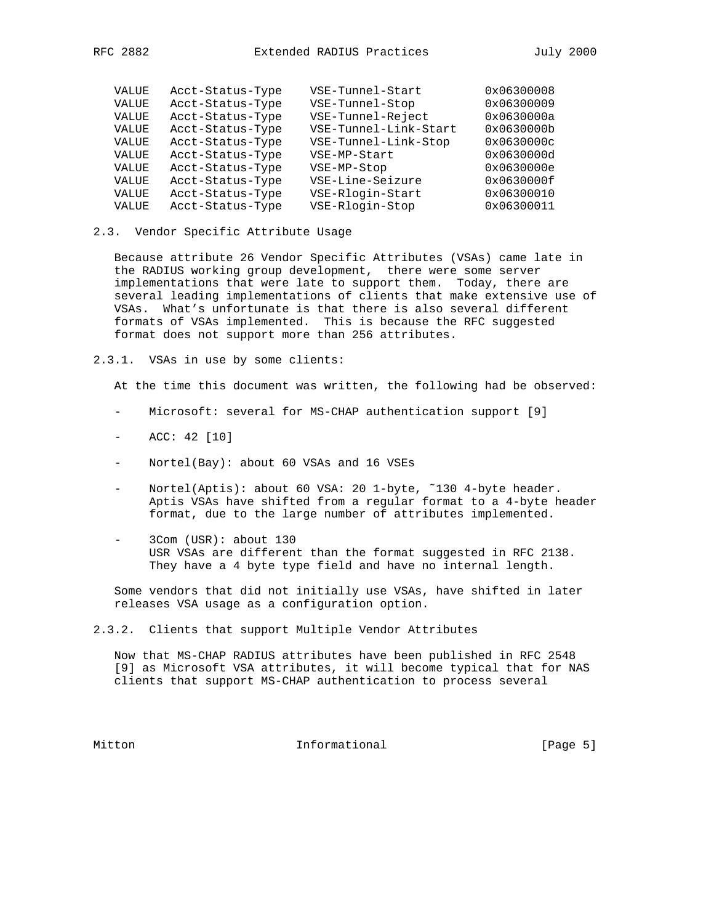| VALUE | Acct-Status-Type | VSE-Tunnel-Start      | 0x06300008 |
|-------|------------------|-----------------------|------------|
| VALUE | Acct-Status-Type | VSE-Tunnel-Stop       | 0x06300009 |
| VALUE | Acct-Status-Type | VSE-Tunnel-Reject     | 0x0630000a |
| VALUE | Acct-Status-Type | VSE-Tunnel-Link-Start | 0x0630000b |
| VALUE | Acct-Status-Type | VSE-Tunnel-Link-Stop  | 0x0630000c |
| VALUE | Acct-Status-Type | VSE-MP-Start          | 0x0630000d |
| VALUE | Acct-Status-Type | VSE-MP-Stop           | 0x0630000e |
| VALUE | Acct-Status-Type | VSE-Line-Seizure      | 0x0630000f |
| VALUE | Acct-Status-Type | VSE-Rlogin-Start      | 0x06300010 |
| VALUE | Acct-Status-Type | VSE-Rlogin-Stop       | 0x06300011 |

2.3. Vendor Specific Attribute Usage

 Because attribute 26 Vendor Specific Attributes (VSAs) came late in the RADIUS working group development, there were some server implementations that were late to support them. Today, there are several leading implementations of clients that make extensive use of VSAs. What's unfortunate is that there is also several different formats of VSAs implemented. This is because the RFC suggested format does not support more than 256 attributes.

2.3.1. VSAs in use by some clients:

At the time this document was written, the following had be observed:

- Microsoft: several for MS-CHAP authentication support [9]
- ACC: 42 [10]
- Nortel(Bay): about 60 VSAs and 16 VSEs
- Nortel(Aptis): about 60 VSA: 20 1-byte, ~130 4-byte header. Aptis VSAs have shifted from a regular format to a 4-byte header format, due to the large number of attributes implemented.
- 3Com (USR): about 130 USR VSAs are different than the format suggested in RFC 2138. They have a 4 byte type field and have no internal length.

 Some vendors that did not initially use VSAs, have shifted in later releases VSA usage as a configuration option.

2.3.2. Clients that support Multiple Vendor Attributes

 Now that MS-CHAP RADIUS attributes have been published in RFC 2548 [9] as Microsoft VSA attributes, it will become typical that for NAS clients that support MS-CHAP authentication to process several

Mitton **Informational Informational** [Page 5]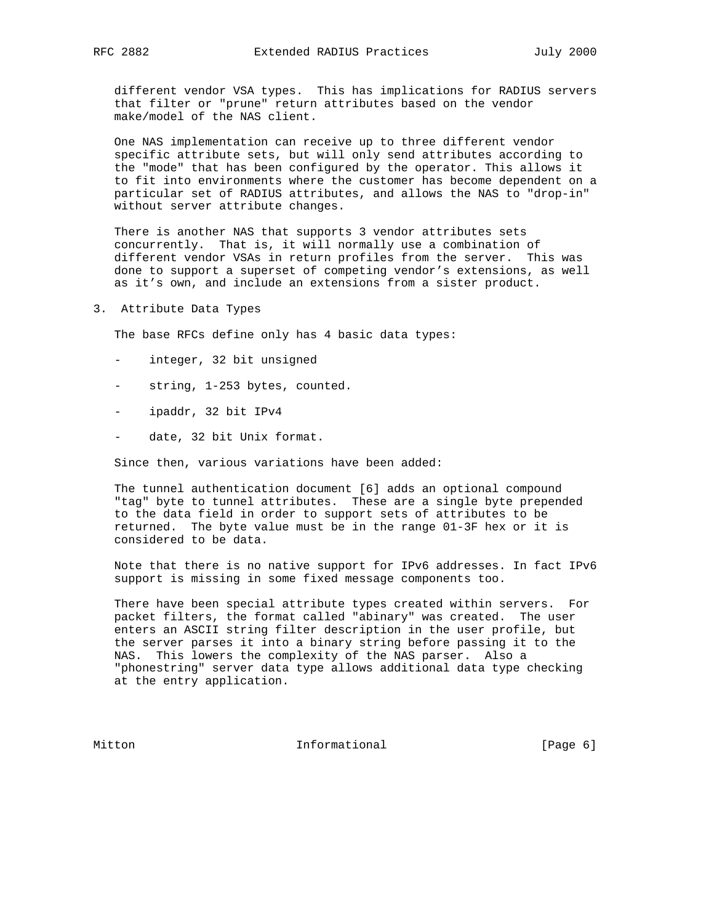different vendor VSA types. This has implications for RADIUS servers that filter or "prune" return attributes based on the vendor make/model of the NAS client.

 One NAS implementation can receive up to three different vendor specific attribute sets, but will only send attributes according to the "mode" that has been configured by the operator. This allows it to fit into environments where the customer has become dependent on a particular set of RADIUS attributes, and allows the NAS to "drop-in" without server attribute changes.

 There is another NAS that supports 3 vendor attributes sets concurrently. That is, it will normally use a combination of different vendor VSAs in return profiles from the server. This was done to support a superset of competing vendor's extensions, as well as it's own, and include an extensions from a sister product.

3. Attribute Data Types

The base RFCs define only has 4 basic data types:

- integer, 32 bit unsigned
- string, 1-253 bytes, counted.
- ipaddr, 32 bit IPv4
- date, 32 bit Unix format.

Since then, various variations have been added:

 The tunnel authentication document [6] adds an optional compound "tag" byte to tunnel attributes. These are a single byte prepended to the data field in order to support sets of attributes to be returned. The byte value must be in the range 01-3F hex or it is considered to be data.

 Note that there is no native support for IPv6 addresses. In fact IPv6 support is missing in some fixed message components too.

 There have been special attribute types created within servers. For packet filters, the format called "abinary" was created. The user enters an ASCII string filter description in the user profile, but the server parses it into a binary string before passing it to the NAS. This lowers the complexity of the NAS parser. Also a "phonestring" server data type allows additional data type checking at the entry application.

Mitton Informational [Page 6]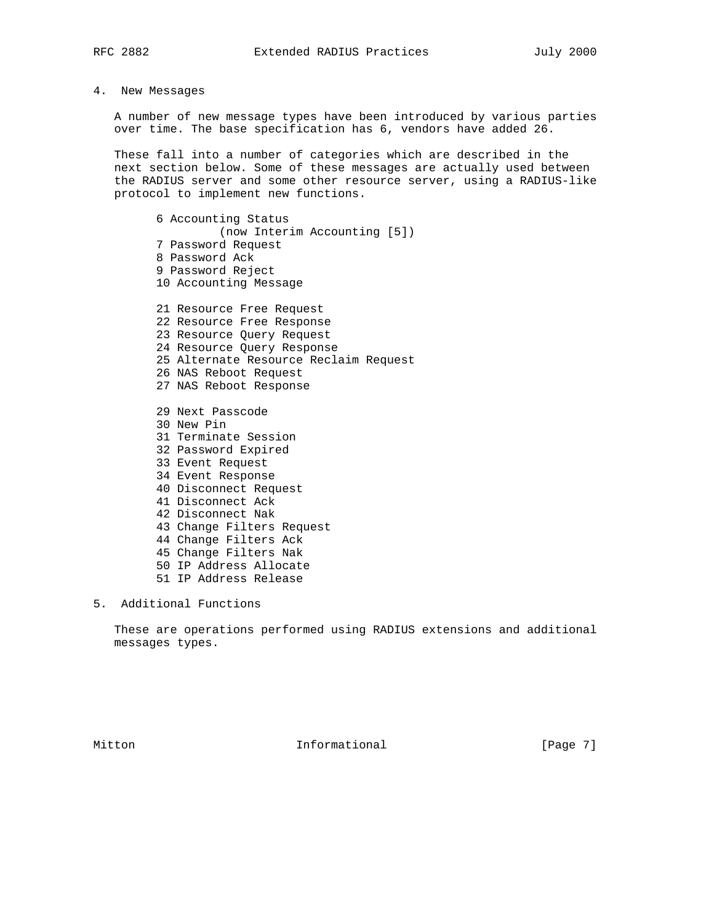## 4. New Messages

 A number of new message types have been introduced by various parties over time. The base specification has 6, vendors have added 26.

 These fall into a number of categories which are described in the next section below. Some of these messages are actually used between the RADIUS server and some other resource server, using a RADIUS-like protocol to implement new functions.

 6 Accounting Status (now Interim Accounting [5]) 7 Password Request 8 Password Ack 9 Password Reject 10 Accounting Message 21 Resource Free Request 22 Resource Free Response 23 Resource Query Request 24 Resource Query Response 25 Alternate Resource Reclaim Request 26 NAS Reboot Request 27 NAS Reboot Response 29 Next Passcode 30 New Pin 31 Terminate Session 32 Password Expired 33 Event Request 34 Event Response 40 Disconnect Request 41 Disconnect Ack 42 Disconnect Nak 43 Change Filters Request 44 Change Filters Ack 45 Change Filters Nak 50 IP Address Allocate 51 IP Address Release

5. Additional Functions

 These are operations performed using RADIUS extensions and additional messages types.

Mitton **Informational Informational** [Page 7]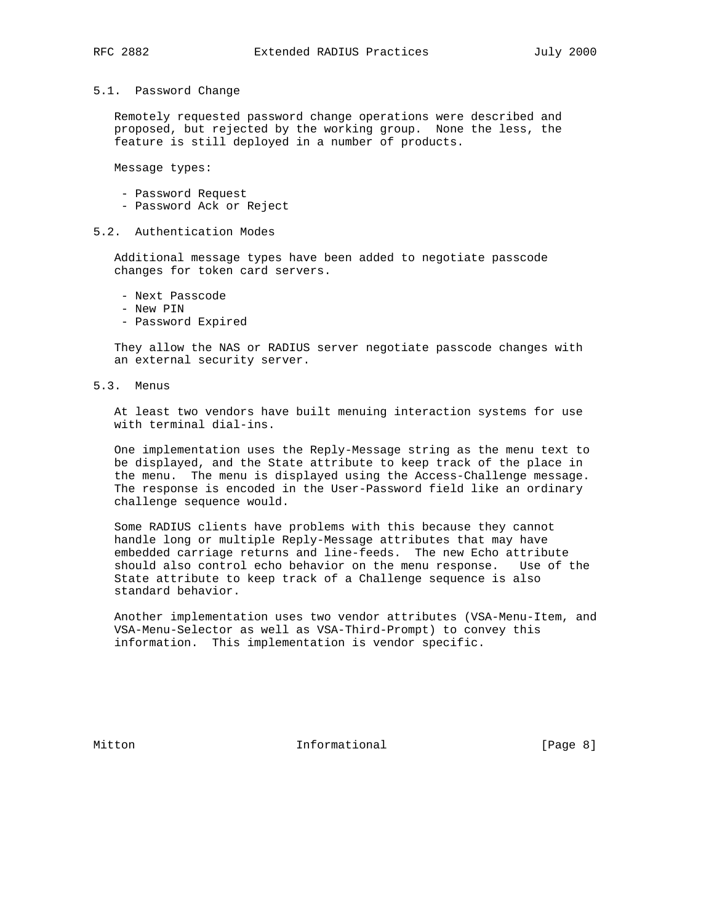## 5.1. Password Change

 Remotely requested password change operations were described and proposed, but rejected by the working group. None the less, the feature is still deployed in a number of products.

Message types:

- Password Request
- Password Ack or Reject

#### 5.2. Authentication Modes

 Additional message types have been added to negotiate passcode changes for token card servers.

- Next Passcode
- New PIN
- Password Expired

 They allow the NAS or RADIUS server negotiate passcode changes with an external security server.

5.3. Menus

 At least two vendors have built menuing interaction systems for use with terminal dial-ins.

 One implementation uses the Reply-Message string as the menu text to be displayed, and the State attribute to keep track of the place in the menu. The menu is displayed using the Access-Challenge message. The response is encoded in the User-Password field like an ordinary challenge sequence would.

 Some RADIUS clients have problems with this because they cannot handle long or multiple Reply-Message attributes that may have embedded carriage returns and line-feeds. The new Echo attribute should also control echo behavior on the menu response. Use of the State attribute to keep track of a Challenge sequence is also standard behavior.

 Another implementation uses two vendor attributes (VSA-Menu-Item, and VSA-Menu-Selector as well as VSA-Third-Prompt) to convey this information. This implementation is vendor specific.

Mitton **Informational Informational** [Page 8]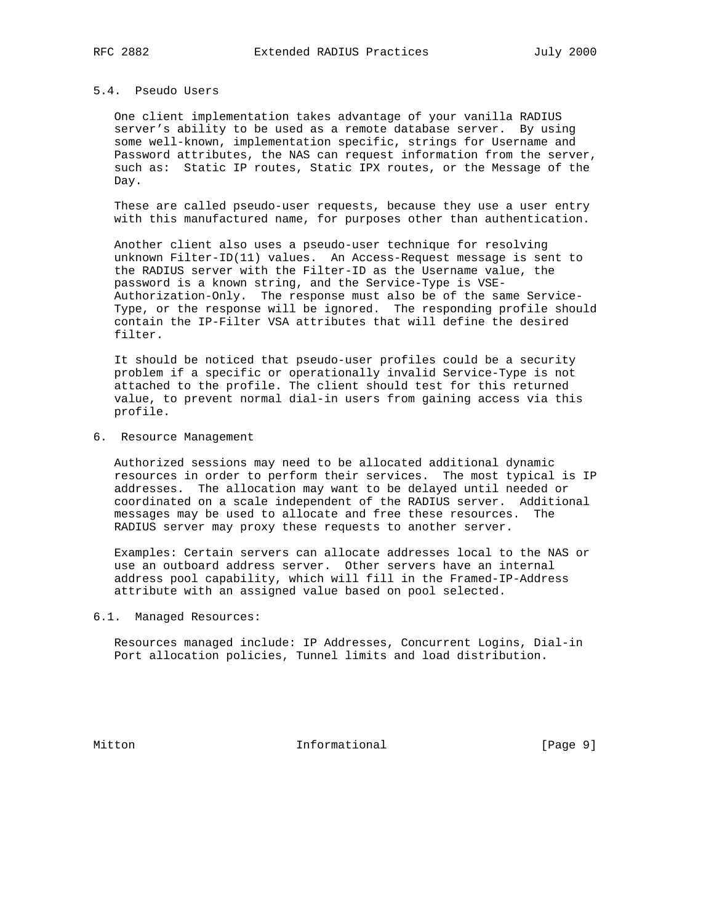## 5.4. Pseudo Users

 One client implementation takes advantage of your vanilla RADIUS server's ability to be used as a remote database server. By using some well-known, implementation specific, strings for Username and Password attributes, the NAS can request information from the server, such as: Static IP routes, Static IPX routes, or the Message of the Day.

 These are called pseudo-user requests, because they use a user entry with this manufactured name, for purposes other than authentication.

 Another client also uses a pseudo-user technique for resolving unknown Filter-ID(11) values. An Access-Request message is sent to the RADIUS server with the Filter-ID as the Username value, the password is a known string, and the Service-Type is VSE- Authorization-Only. The response must also be of the same Service- Type, or the response will be ignored. The responding profile should contain the IP-Filter VSA attributes that will define the desired filter.

 It should be noticed that pseudo-user profiles could be a security problem if a specific or operationally invalid Service-Type is not attached to the profile. The client should test for this returned value, to prevent normal dial-in users from gaining access via this profile.

6. Resource Management

 Authorized sessions may need to be allocated additional dynamic resources in order to perform their services. The most typical is IP addresses. The allocation may want to be delayed until needed or coordinated on a scale independent of the RADIUS server. Additional messages may be used to allocate and free these resources. The RADIUS server may proxy these requests to another server.

 Examples: Certain servers can allocate addresses local to the NAS or use an outboard address server. Other servers have an internal address pool capability, which will fill in the Framed-IP-Address attribute with an assigned value based on pool selected.

## 6.1. Managed Resources:

 Resources managed include: IP Addresses, Concurrent Logins, Dial-in Port allocation policies, Tunnel limits and load distribution.

Mitton **Informational Informational** [Page 9]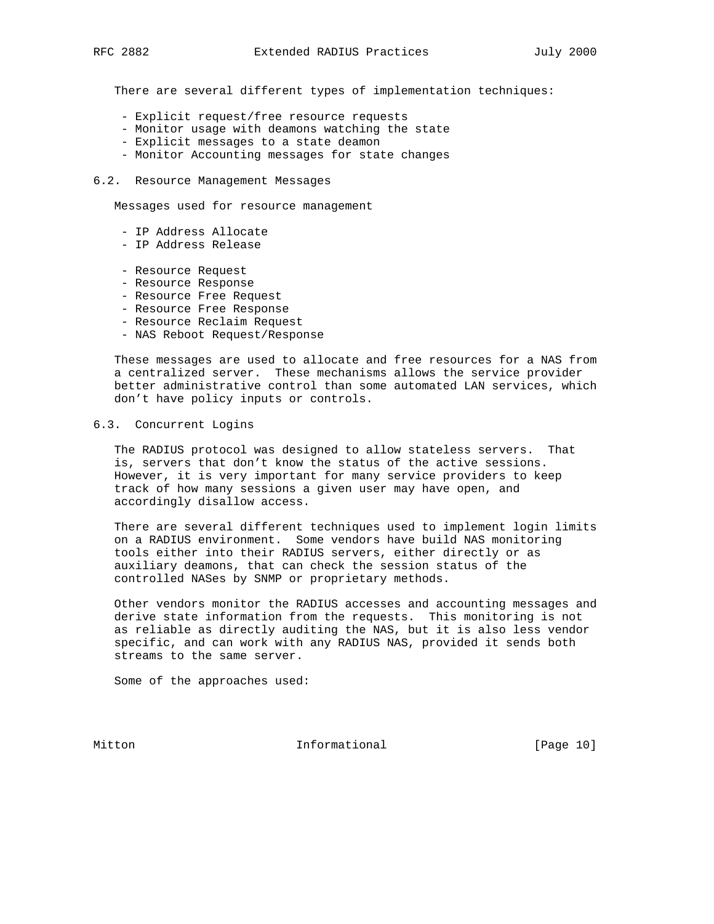There are several different types of implementation techniques:

- Explicit request/free resource requests
- Monitor usage with deamons watching the state
- Explicit messages to a state deamon
- Monitor Accounting messages for state changes
- 6.2. Resource Management Messages

Messages used for resource management

- IP Address Allocate
- IP Address Release
- Resource Request
- Resource Response
- Resource Free Request
- Resource Free Response
- Resource Reclaim Request
- NAS Reboot Request/Response

 These messages are used to allocate and free resources for a NAS from a centralized server. These mechanisms allows the service provider better administrative control than some automated LAN services, which don't have policy inputs or controls.

## 6.3. Concurrent Logins

 The RADIUS protocol was designed to allow stateless servers. That is, servers that don't know the status of the active sessions. However, it is very important for many service providers to keep track of how many sessions a given user may have open, and accordingly disallow access.

 There are several different techniques used to implement login limits on a RADIUS environment. Some vendors have build NAS monitoring tools either into their RADIUS servers, either directly or as auxiliary deamons, that can check the session status of the controlled NASes by SNMP or proprietary methods.

 Other vendors monitor the RADIUS accesses and accounting messages and derive state information from the requests. This monitoring is not as reliable as directly auditing the NAS, but it is also less vendor specific, and can work with any RADIUS NAS, provided it sends both streams to the same server.

Some of the approaches used:

Mitton **Informational Informational** [Page 10]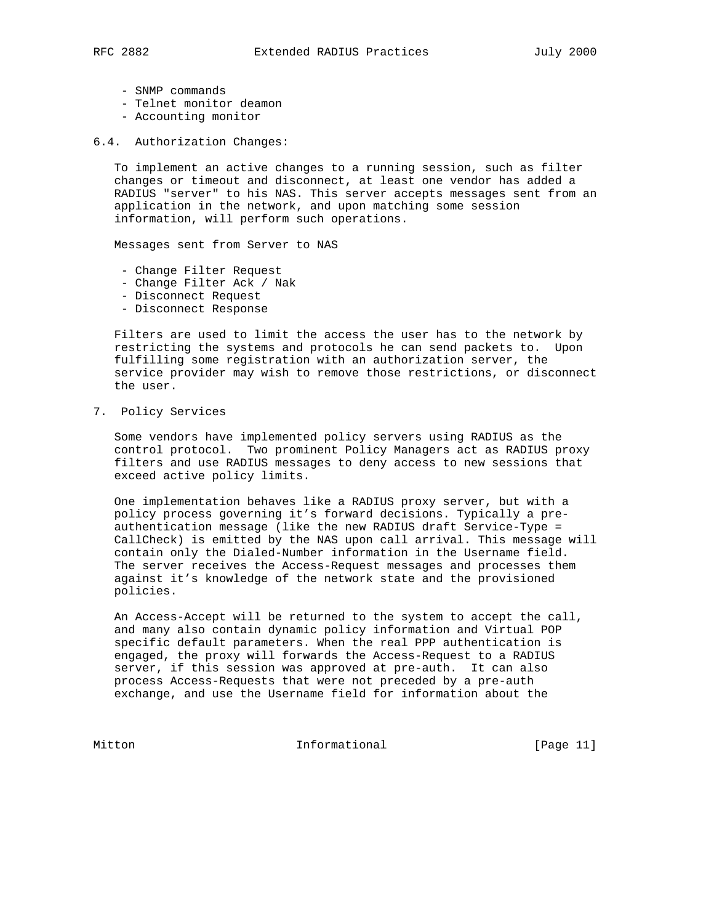- - SNMP commands
	- Telnet monitor deamon
	- Accounting monitor
- 6.4. Authorization Changes:

 To implement an active changes to a running session, such as filter changes or timeout and disconnect, at least one vendor has added a RADIUS "server" to his NAS. This server accepts messages sent from an application in the network, and upon matching some session information, will perform such operations.

Messages sent from Server to NAS

- Change Filter Request
- Change Filter Ack / Nak
- Disconnect Request
- Disconnect Response

 Filters are used to limit the access the user has to the network by restricting the systems and protocols he can send packets to. Upon fulfilling some registration with an authorization server, the service provider may wish to remove those restrictions, or disconnect the user.

7. Policy Services

 Some vendors have implemented policy servers using RADIUS as the control protocol. Two prominent Policy Managers act as RADIUS proxy filters and use RADIUS messages to deny access to new sessions that exceed active policy limits.

 One implementation behaves like a RADIUS proxy server, but with a policy process governing it's forward decisions. Typically a pre authentication message (like the new RADIUS draft Service-Type = CallCheck) is emitted by the NAS upon call arrival. This message will contain only the Dialed-Number information in the Username field. The server receives the Access-Request messages and processes them against it's knowledge of the network state and the provisioned policies.

 An Access-Accept will be returned to the system to accept the call, and many also contain dynamic policy information and Virtual POP specific default parameters. When the real PPP authentication is engaged, the proxy will forwards the Access-Request to a RADIUS server, if this session was approved at pre-auth. It can also process Access-Requests that were not preceded by a pre-auth exchange, and use the Username field for information about the

Mitton Informational [Page 11]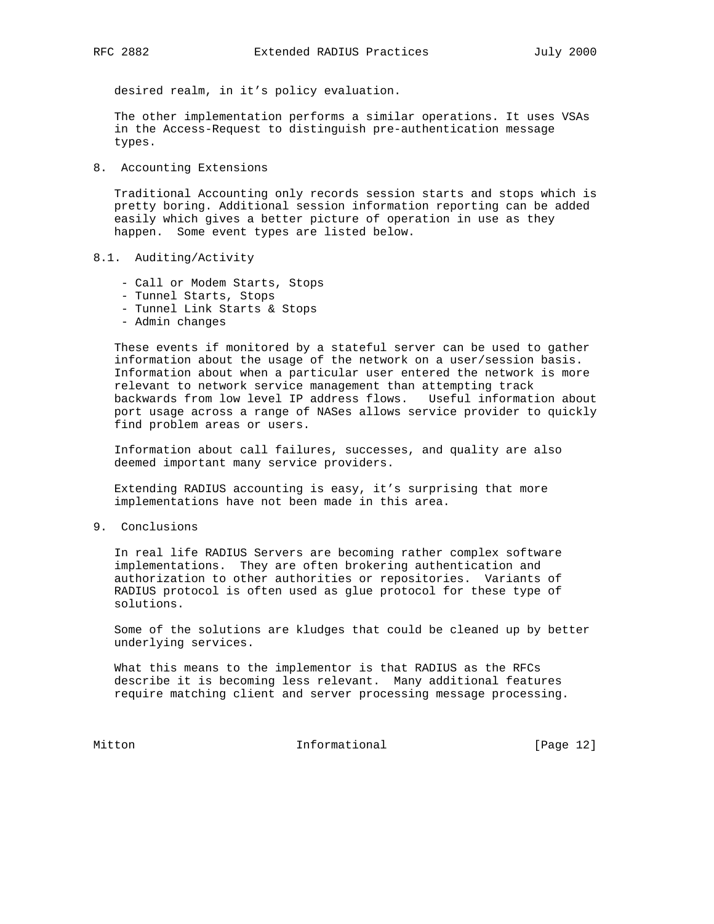desired realm, in it's policy evaluation.

 The other implementation performs a similar operations. It uses VSAs in the Access-Request to distinguish pre-authentication message types.

8. Accounting Extensions

 Traditional Accounting only records session starts and stops which is pretty boring. Additional session information reporting can be added easily which gives a better picture of operation in use as they happen. Some event types are listed below.

- 8.1. Auditing/Activity
	- Call or Modem Starts, Stops
	- Tunnel Starts, Stops
	- Tunnel Link Starts & Stops
	- Admin changes

 These events if monitored by a stateful server can be used to gather information about the usage of the network on a user/session basis. Information about when a particular user entered the network is more relevant to network service management than attempting track backwards from low level IP address flows. Useful information about port usage across a range of NASes allows service provider to quickly find problem areas or users.

 Information about call failures, successes, and quality are also deemed important many service providers.

 Extending RADIUS accounting is easy, it's surprising that more implementations have not been made in this area.

9. Conclusions

 In real life RADIUS Servers are becoming rather complex software implementations. They are often brokering authentication and authorization to other authorities or repositories. Variants of RADIUS protocol is often used as glue protocol for these type of solutions.

 Some of the solutions are kludges that could be cleaned up by better underlying services.

 What this means to the implementor is that RADIUS as the RFCs describe it is becoming less relevant. Many additional features require matching client and server processing message processing.

Mitton Informational [Page 12]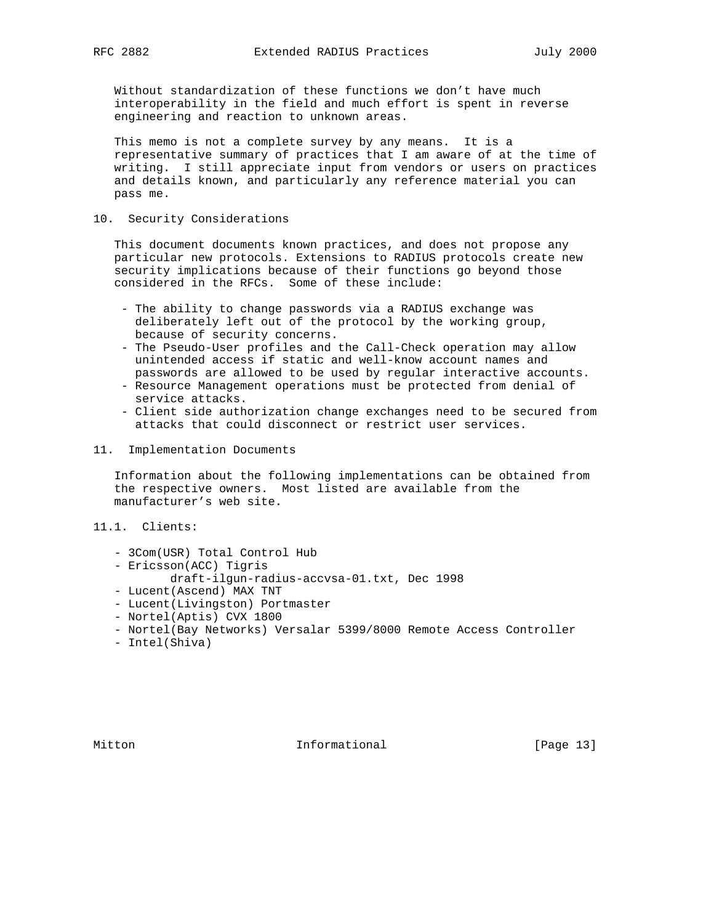Without standardization of these functions we don't have much interoperability in the field and much effort is spent in reverse engineering and reaction to unknown areas.

 This memo is not a complete survey by any means. It is a representative summary of practices that I am aware of at the time of writing. I still appreciate input from vendors or users on practices and details known, and particularly any reference material you can pass me.

## 10. Security Considerations

 This document documents known practices, and does not propose any particular new protocols. Extensions to RADIUS protocols create new security implications because of their functions go beyond those considered in the RFCs. Some of these include:

- The ability to change passwords via a RADIUS exchange was deliberately left out of the protocol by the working group, because of security concerns.
- The Pseudo-User profiles and the Call-Check operation may allow unintended access if static and well-know account names and passwords are allowed to be used by regular interactive accounts. - Resource Management operations must be protected from denial of
- service attacks.
- Client side authorization change exchanges need to be secured from attacks that could disconnect or restrict user services.
- 11. Implementation Documents

 Information about the following implementations can be obtained from the respective owners. Most listed are available from the manufacturer's web site.

- 11.1. Clients:
	- 3Com(USR) Total Control Hub
	- Ericsson(ACC) Tigris
		- draft-ilgun-radius-accvsa-01.txt, Dec 1998
	- Lucent(Ascend) MAX TNT
	- Lucent(Livingston) Portmaster
	- Nortel(Aptis) CVX 1800
	- Nortel(Bay Networks) Versalar 5399/8000 Remote Access Controller
	- Intel(Shiva)

Mitton **Informational Informational** [Page 13]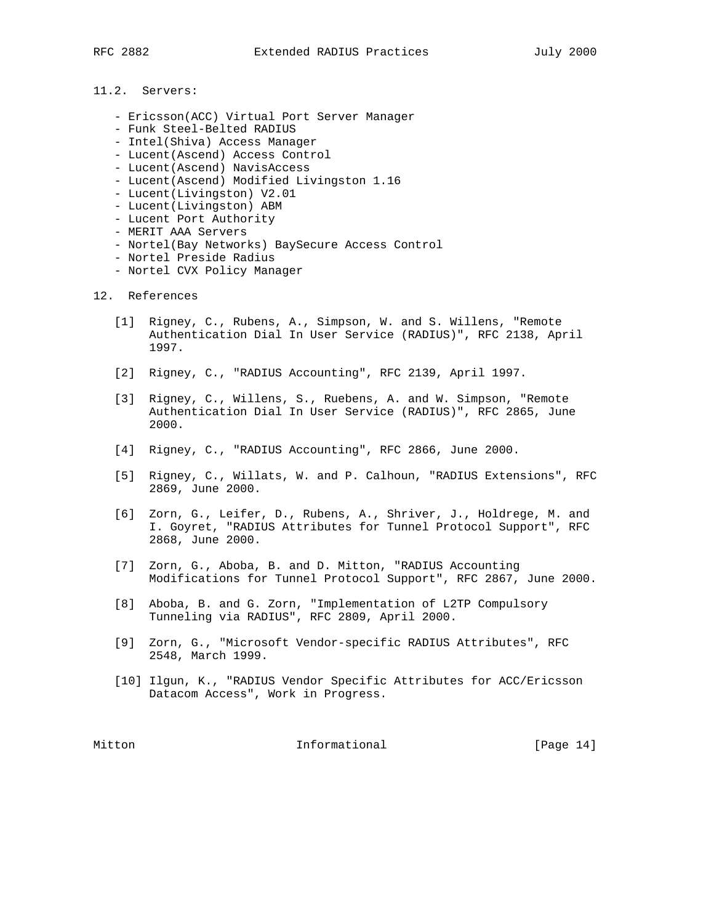- 11.2. Servers:
	- Ericsson(ACC) Virtual Port Server Manager
	- Funk Steel-Belted RADIUS
	- Intel(Shiva) Access Manager
	- Lucent(Ascend) Access Control
	- Lucent(Ascend) NavisAccess
	- Lucent(Ascend) Modified Livingston 1.16
	- Lucent(Livingston) V2.01
	- Lucent(Livingston) ABM
	- Lucent Port Authority
	- MERIT AAA Servers
	- Nortel(Bay Networks) BaySecure Access Control
	- Nortel Preside Radius
	- Nortel CVX Policy Manager
- 12. References
	- [1] Rigney, C., Rubens, A., Simpson, W. and S. Willens, "Remote Authentication Dial In User Service (RADIUS)", RFC 2138, April 1997.
	- [2] Rigney, C., "RADIUS Accounting", RFC 2139, April 1997.
	- [3] Rigney, C., Willens, S., Ruebens, A. and W. Simpson, "Remote Authentication Dial In User Service (RADIUS)", RFC 2865, June 2000.
	- [4] Rigney, C., "RADIUS Accounting", RFC 2866, June 2000.
	- [5] Rigney, C., Willats, W. and P. Calhoun, "RADIUS Extensions", RFC 2869, June 2000.
	- [6] Zorn, G., Leifer, D., Rubens, A., Shriver, J., Holdrege, M. and I. Goyret, "RADIUS Attributes for Tunnel Protocol Support", RFC 2868, June 2000.
	- [7] Zorn, G., Aboba, B. and D. Mitton, "RADIUS Accounting Modifications for Tunnel Protocol Support", RFC 2867, June 2000.
	- [8] Aboba, B. and G. Zorn, "Implementation of L2TP Compulsory Tunneling via RADIUS", RFC 2809, April 2000.
	- [9] Zorn, G., "Microsoft Vendor-specific RADIUS Attributes", RFC 2548, March 1999.
	- [10] Ilgun, K., "RADIUS Vendor Specific Attributes for ACC/Ericsson Datacom Access", Work in Progress.

Mitton **Informational Informational** [Page 14]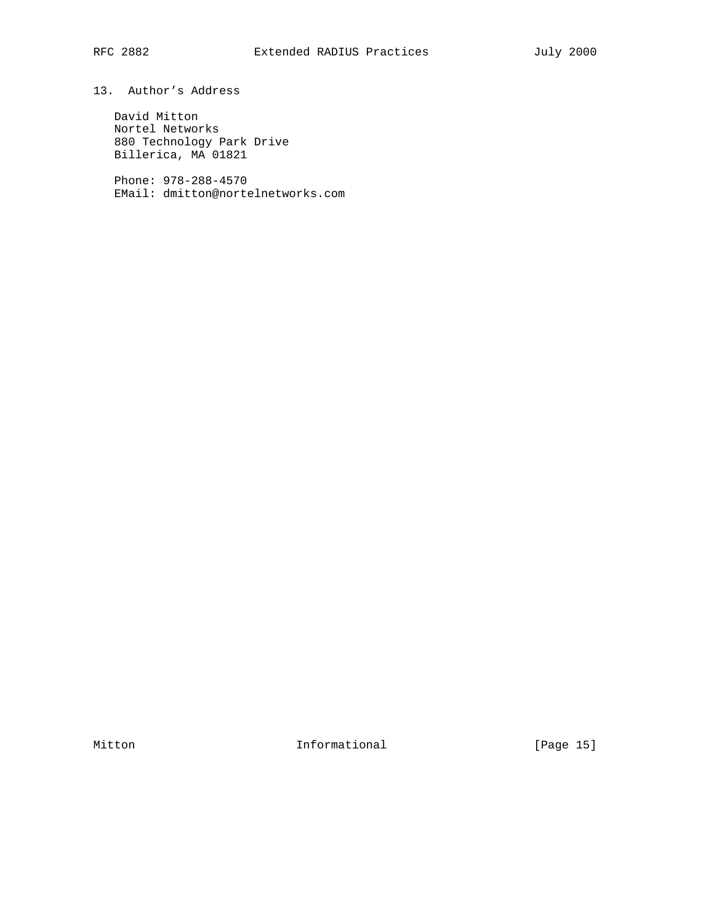# 13. Author's Address

 David Mitton Nortel Networks 880 Technology Park Drive Billerica, MA 01821

 Phone: 978-288-4570 EMail: dmitton@nortelnetworks.com

Mitton Informational [Page 15]